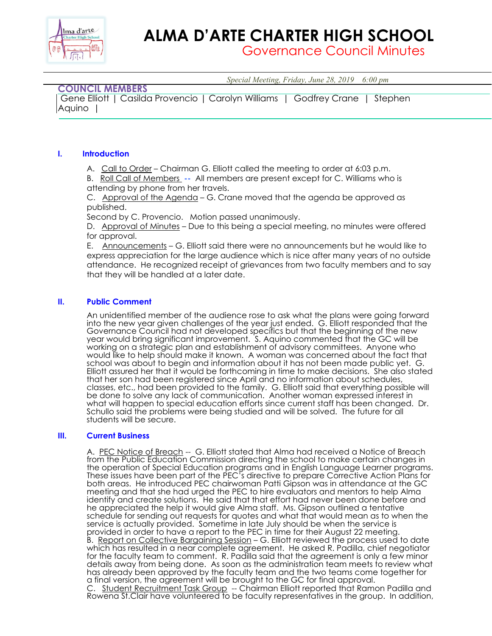

# **ALMA D'ARTE CHARTER HIGH SCHOOL**

Governance Council Minutes

*Special Meeting, Friday, June 28, 2019 6:00 pm*

# **COUNCIL MEMBERS**

|        | Gene Elliott   Casilda Provencio   Carolyn Williams   Godfrey Crane   Stephen |  |  |  |
|--------|-------------------------------------------------------------------------------|--|--|--|
| Aquino |                                                                               |  |  |  |

## **I. Introduction**

A. Call to Order – Chairman G. Elliott called the meeting to order at 6:03 p.m.

B. Roll Call of Members **--** All members are present except for C. Williams who is attending by phone from her travels.

C. Approval of the Agenda – G. Crane moved that the agenda be approved as published.

Second by C. Provencio. Motion passed unanimously.

D. Approval of Minutes – Due to this being a special meeting, no minutes were offered for approval.

E. Announcements – G. Elliott said there were no announcements but he would like to express appreciation for the large audience which is nice after many years of no outside attendance. He recognized receipt of grievances from two faculty members and to say that they will be handled at a later date.

### **II. Public Comment**

An unidentified member of the audience rose to ask what the plans were going forward into the new year given challenges of the year just ended. G. Elliott responded that the Governance Council had not developed specifics but that the beginning of the new year would bring significant improvement. S. Aquino commented that the GC will be working on a strategic plan and establishment of advisory committees. Anyone who would like to help should make it known. A woman was concerned about the fact that school was about to begin and information about it has not been made public yet. G. Elliott assured her that it would be forthcoming in time to make decisions. She also stated that her son had been registered since April and no information about schedules, classes, etc., had been provided to the family. G. Elliott said that everything possible will be done to solve any lack of communication. Another woman expressed interest in what will happen to special education efforts since current staff has been changed. Dr. Schullo said the problems were being studied and will be solved. The future for all students will be secure.

#### **III. Current Business**

A. PEC Notice of Breach -- G. Elliott stated that Alma had received a Notice of Breach from the Public Education Commission directing the school to make certain changes in the operation of Special Education programs and in English Language Learner programs. These issues have been part of the PEC's directive to prepare Corrective Action Plans for both areas. He introduced PEC chairwoman Patti Gipson was in attendance at the GC meeting and that she had urged the PEC to hire evaluators and mentors to help Alma identify and create solutions. He said that that effort had never been done before and he appreciated the help it would give Alma staff. Ms. Gipson outlined a tentative schedule for sending out requests for quotes and what that would mean as to when the service is actually provided. Sometime in late July should be when the service is provided in order to have a report to the PEC in time for their August 22 meeting. B. Report on Collective Bargaining Session – G. Elliott reviewed the process used to date which has resulted in a near complete agreement. He asked R. Padilla, chief negotiator for the faculty team to comment. R. Padilla said that the agreement is only a few minor details away from being done. As soon as the administration team meets to review what has already been approved by the faculty team and the two teams come together for a final version, the agreement will be brought to the GC for final approval. C. Student Recruitment Task Group -- Chairman Elliott reported that Ramon Padilla and Rowena St.Clair have volunteered to be faculty representatives in the group. In addition,